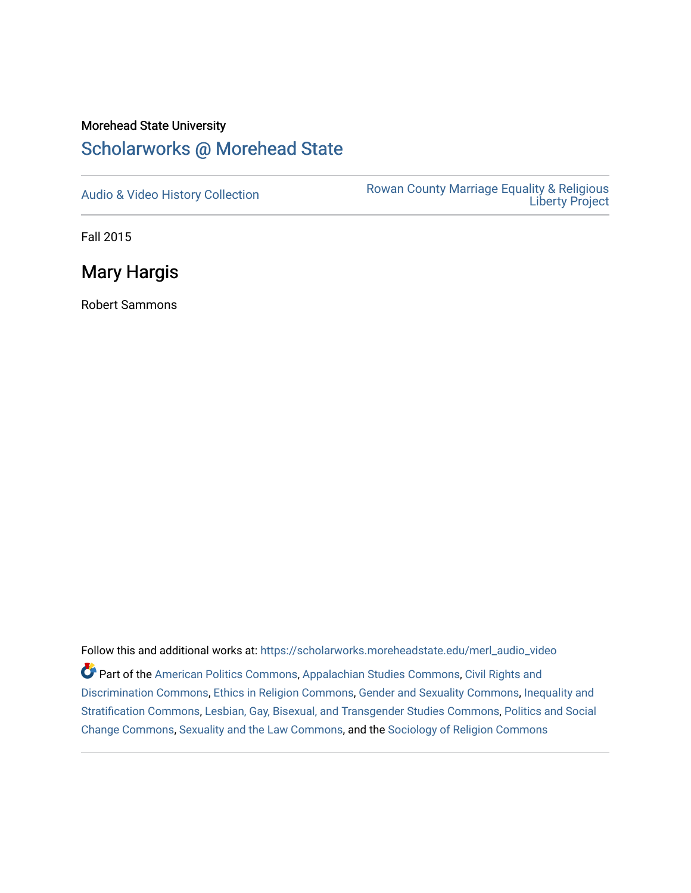# Morehead State University

## [Scholarworks @ Morehead State](https://scholarworks.moreheadstate.edu/)

[Audio & Video History Collection](https://scholarworks.moreheadstate.edu/merl_audio_video) **Rowan County Marriage Equality & Religious** [Liberty Project](https://scholarworks.moreheadstate.edu/merl) 

Fall 2015

Mary Hargis

Robert Sammons

Follow this and additional works at: [https://scholarworks.moreheadstate.edu/merl\\_audio\\_video](https://scholarworks.moreheadstate.edu/merl_audio_video?utm_source=scholarworks.moreheadstate.edu%2Fmerl_audio_video%2F87&utm_medium=PDF&utm_campaign=PDFCoverPages)  Part of the [American Politics Commons,](http://network.bepress.com/hgg/discipline/387?utm_source=scholarworks.moreheadstate.edu%2Fmerl_audio_video%2F87&utm_medium=PDF&utm_campaign=PDFCoverPages) [Appalachian Studies Commons,](http://network.bepress.com/hgg/discipline/1253?utm_source=scholarworks.moreheadstate.edu%2Fmerl_audio_video%2F87&utm_medium=PDF&utm_campaign=PDFCoverPages) [Civil Rights and](http://network.bepress.com/hgg/discipline/585?utm_source=scholarworks.moreheadstate.edu%2Fmerl_audio_video%2F87&utm_medium=PDF&utm_campaign=PDFCoverPages) [Discrimination Commons,](http://network.bepress.com/hgg/discipline/585?utm_source=scholarworks.moreheadstate.edu%2Fmerl_audio_video%2F87&utm_medium=PDF&utm_campaign=PDFCoverPages) [Ethics in Religion Commons,](http://network.bepress.com/hgg/discipline/541?utm_source=scholarworks.moreheadstate.edu%2Fmerl_audio_video%2F87&utm_medium=PDF&utm_campaign=PDFCoverPages) [Gender and Sexuality Commons](http://network.bepress.com/hgg/discipline/420?utm_source=scholarworks.moreheadstate.edu%2Fmerl_audio_video%2F87&utm_medium=PDF&utm_campaign=PDFCoverPages), [Inequality and](http://network.bepress.com/hgg/discipline/421?utm_source=scholarworks.moreheadstate.edu%2Fmerl_audio_video%2F87&utm_medium=PDF&utm_campaign=PDFCoverPages)  [Stratification Commons](http://network.bepress.com/hgg/discipline/421?utm_source=scholarworks.moreheadstate.edu%2Fmerl_audio_video%2F87&utm_medium=PDF&utm_campaign=PDFCoverPages), [Lesbian, Gay, Bisexual, and Transgender Studies Commons,](http://network.bepress.com/hgg/discipline/560?utm_source=scholarworks.moreheadstate.edu%2Fmerl_audio_video%2F87&utm_medium=PDF&utm_campaign=PDFCoverPages) [Politics and Social](http://network.bepress.com/hgg/discipline/425?utm_source=scholarworks.moreheadstate.edu%2Fmerl_audio_video%2F87&utm_medium=PDF&utm_campaign=PDFCoverPages)  [Change Commons](http://network.bepress.com/hgg/discipline/425?utm_source=scholarworks.moreheadstate.edu%2Fmerl_audio_video%2F87&utm_medium=PDF&utm_campaign=PDFCoverPages), [Sexuality and the Law Commons,](http://network.bepress.com/hgg/discipline/877?utm_source=scholarworks.moreheadstate.edu%2Fmerl_audio_video%2F87&utm_medium=PDF&utm_campaign=PDFCoverPages) and the [Sociology of Religion Commons](http://network.bepress.com/hgg/discipline/1365?utm_source=scholarworks.moreheadstate.edu%2Fmerl_audio_video%2F87&utm_medium=PDF&utm_campaign=PDFCoverPages)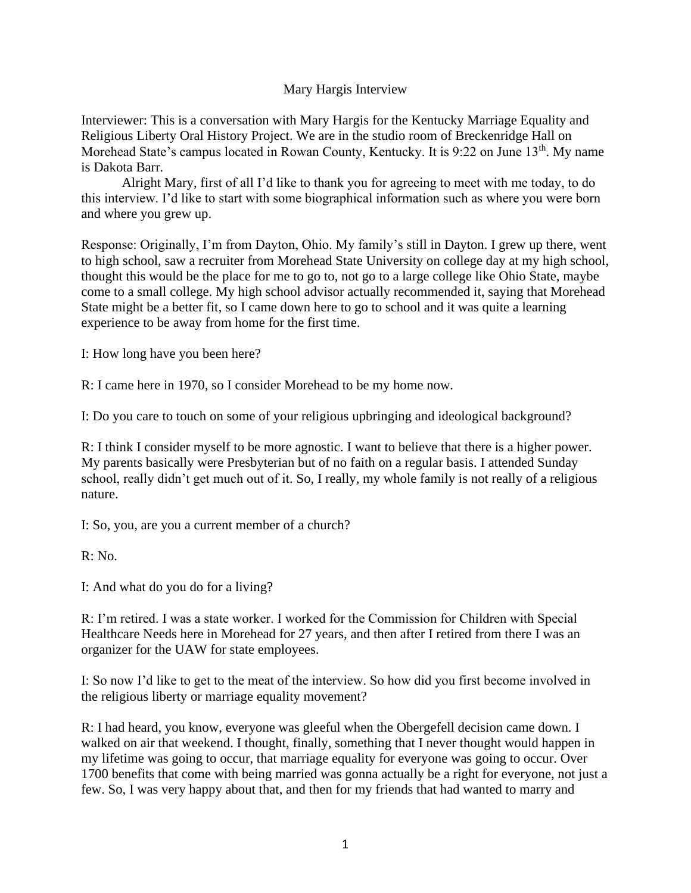## Mary Hargis Interview

Interviewer: This is a conversation with Mary Hargis for the Kentucky Marriage Equality and Religious Liberty Oral History Project. We are in the studio room of Breckenridge Hall on Morehead State's campus located in Rowan County, Kentucky. It is 9:22 on June 13<sup>th</sup>. My name is Dakota Barr.

Alright Mary, first of all I'd like to thank you for agreeing to meet with me today, to do this interview. I'd like to start with some biographical information such as where you were born and where you grew up.

Response: Originally, I'm from Dayton, Ohio. My family's still in Dayton. I grew up there, went to high school, saw a recruiter from Morehead State University on college day at my high school, thought this would be the place for me to go to, not go to a large college like Ohio State, maybe come to a small college. My high school advisor actually recommended it, saying that Morehead State might be a better fit, so I came down here to go to school and it was quite a learning experience to be away from home for the first time.

I: How long have you been here?

R: I came here in 1970, so I consider Morehead to be my home now.

I: Do you care to touch on some of your religious upbringing and ideological background?

R: I think I consider myself to be more agnostic. I want to believe that there is a higher power. My parents basically were Presbyterian but of no faith on a regular basis. I attended Sunday school, really didn't get much out of it. So, I really, my whole family is not really of a religious nature.

I: So, you, are you a current member of a church?

 $R: No.$ 

I: And what do you do for a living?

R: I'm retired. I was a state worker. I worked for the Commission for Children with Special Healthcare Needs here in Morehead for 27 years, and then after I retired from there I was an organizer for the UAW for state employees.

I: So now I'd like to get to the meat of the interview. So how did you first become involved in the religious liberty or marriage equality movement?

R: I had heard, you know, everyone was gleeful when the Obergefell decision came down. I walked on air that weekend. I thought, finally, something that I never thought would happen in my lifetime was going to occur, that marriage equality for everyone was going to occur. Over 1700 benefits that come with being married was gonna actually be a right for everyone, not just a few. So, I was very happy about that, and then for my friends that had wanted to marry and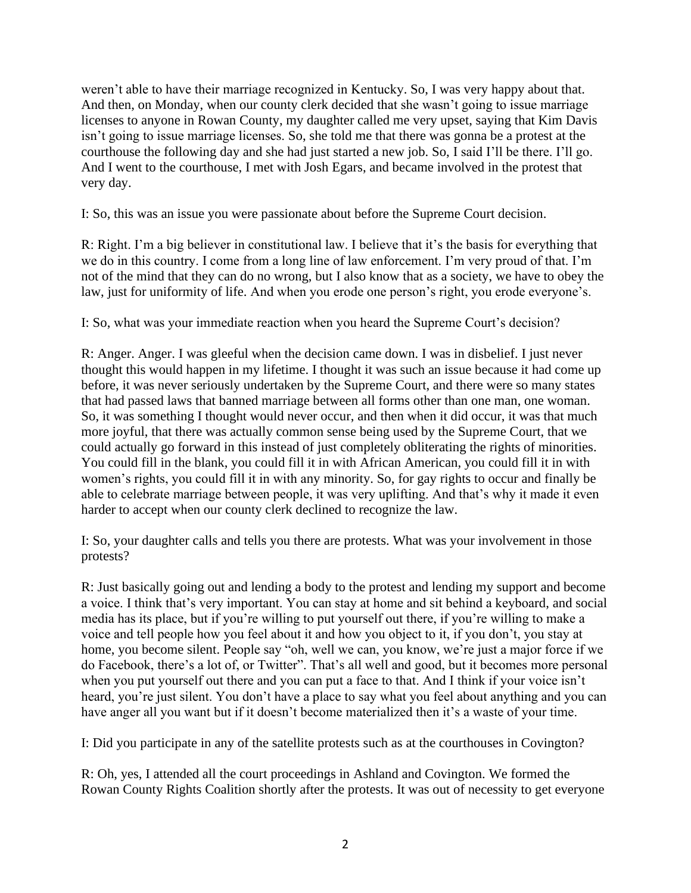weren't able to have their marriage recognized in Kentucky. So, I was very happy about that. And then, on Monday, when our county clerk decided that she wasn't going to issue marriage licenses to anyone in Rowan County, my daughter called me very upset, saying that Kim Davis isn't going to issue marriage licenses. So, she told me that there was gonna be a protest at the courthouse the following day and she had just started a new job. So, I said I'll be there. I'll go. And I went to the courthouse, I met with Josh Egars, and became involved in the protest that very day.

I: So, this was an issue you were passionate about before the Supreme Court decision.

R: Right. I'm a big believer in constitutional law. I believe that it's the basis for everything that we do in this country. I come from a long line of law enforcement. I'm very proud of that. I'm not of the mind that they can do no wrong, but I also know that as a society, we have to obey the law, just for uniformity of life. And when you erode one person's right, you erode everyone's.

I: So, what was your immediate reaction when you heard the Supreme Court's decision?

R: Anger. Anger. I was gleeful when the decision came down. I was in disbelief. I just never thought this would happen in my lifetime. I thought it was such an issue because it had come up before, it was never seriously undertaken by the Supreme Court, and there were so many states that had passed laws that banned marriage between all forms other than one man, one woman. So, it was something I thought would never occur, and then when it did occur, it was that much more joyful, that there was actually common sense being used by the Supreme Court, that we could actually go forward in this instead of just completely obliterating the rights of minorities. You could fill in the blank, you could fill it in with African American, you could fill it in with women's rights, you could fill it in with any minority. So, for gay rights to occur and finally be able to celebrate marriage between people, it was very uplifting. And that's why it made it even harder to accept when our county clerk declined to recognize the law.

I: So, your daughter calls and tells you there are protests. What was your involvement in those protests?

R: Just basically going out and lending a body to the protest and lending my support and become a voice. I think that's very important. You can stay at home and sit behind a keyboard, and social media has its place, but if you're willing to put yourself out there, if you're willing to make a voice and tell people how you feel about it and how you object to it, if you don't, you stay at home, you become silent. People say "oh, well we can, you know, we're just a major force if we do Facebook, there's a lot of, or Twitter". That's all well and good, but it becomes more personal when you put yourself out there and you can put a face to that. And I think if your voice isn't heard, you're just silent. You don't have a place to say what you feel about anything and you can have anger all you want but if it doesn't become materialized then it's a waste of your time.

I: Did you participate in any of the satellite protests such as at the courthouses in Covington?

R: Oh, yes, I attended all the court proceedings in Ashland and Covington. We formed the Rowan County Rights Coalition shortly after the protests. It was out of necessity to get everyone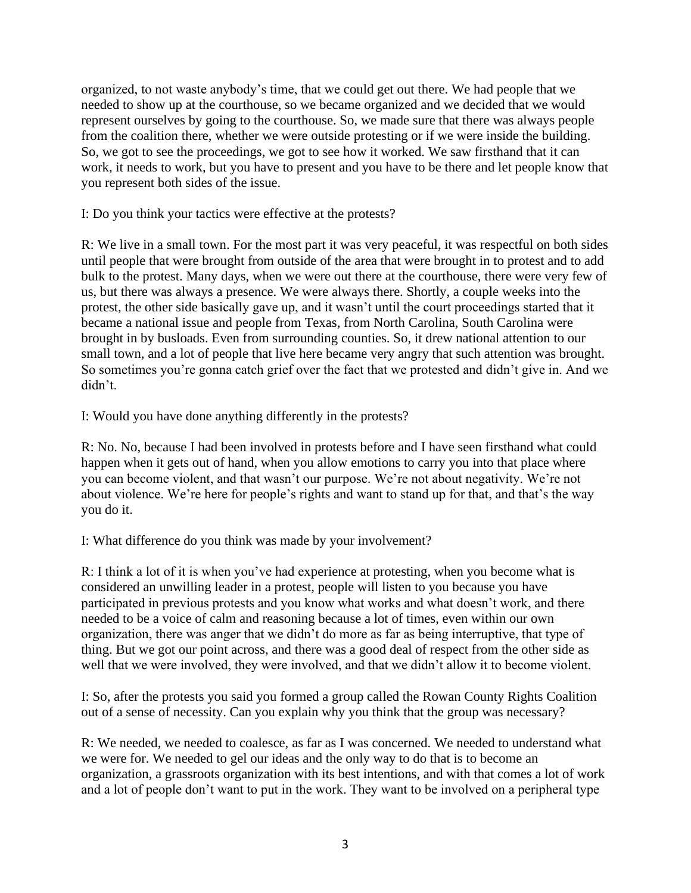organized, to not waste anybody's time, that we could get out there. We had people that we needed to show up at the courthouse, so we became organized and we decided that we would represent ourselves by going to the courthouse. So, we made sure that there was always people from the coalition there, whether we were outside protesting or if we were inside the building. So, we got to see the proceedings, we got to see how it worked. We saw firsthand that it can work, it needs to work, but you have to present and you have to be there and let people know that you represent both sides of the issue.

I: Do you think your tactics were effective at the protests?

R: We live in a small town. For the most part it was very peaceful, it was respectful on both sides until people that were brought from outside of the area that were brought in to protest and to add bulk to the protest. Many days, when we were out there at the courthouse, there were very few of us, but there was always a presence. We were always there. Shortly, a couple weeks into the protest, the other side basically gave up, and it wasn't until the court proceedings started that it became a national issue and people from Texas, from North Carolina, South Carolina were brought in by busloads. Even from surrounding counties. So, it drew national attention to our small town, and a lot of people that live here became very angry that such attention was brought. So sometimes you're gonna catch grief over the fact that we protested and didn't give in. And we didn't.

I: Would you have done anything differently in the protests?

R: No. No, because I had been involved in protests before and I have seen firsthand what could happen when it gets out of hand, when you allow emotions to carry you into that place where you can become violent, and that wasn't our purpose. We're not about negativity. We're not about violence. We're here for people's rights and want to stand up for that, and that's the way you do it.

I: What difference do you think was made by your involvement?

R: I think a lot of it is when you've had experience at protesting, when you become what is considered an unwilling leader in a protest, people will listen to you because you have participated in previous protests and you know what works and what doesn't work, and there needed to be a voice of calm and reasoning because a lot of times, even within our own organization, there was anger that we didn't do more as far as being interruptive, that type of thing. But we got our point across, and there was a good deal of respect from the other side as well that we were involved, they were involved, and that we didn't allow it to become violent.

I: So, after the protests you said you formed a group called the Rowan County Rights Coalition out of a sense of necessity. Can you explain why you think that the group was necessary?

R: We needed, we needed to coalesce, as far as I was concerned. We needed to understand what we were for. We needed to gel our ideas and the only way to do that is to become an organization, a grassroots organization with its best intentions, and with that comes a lot of work and a lot of people don't want to put in the work. They want to be involved on a peripheral type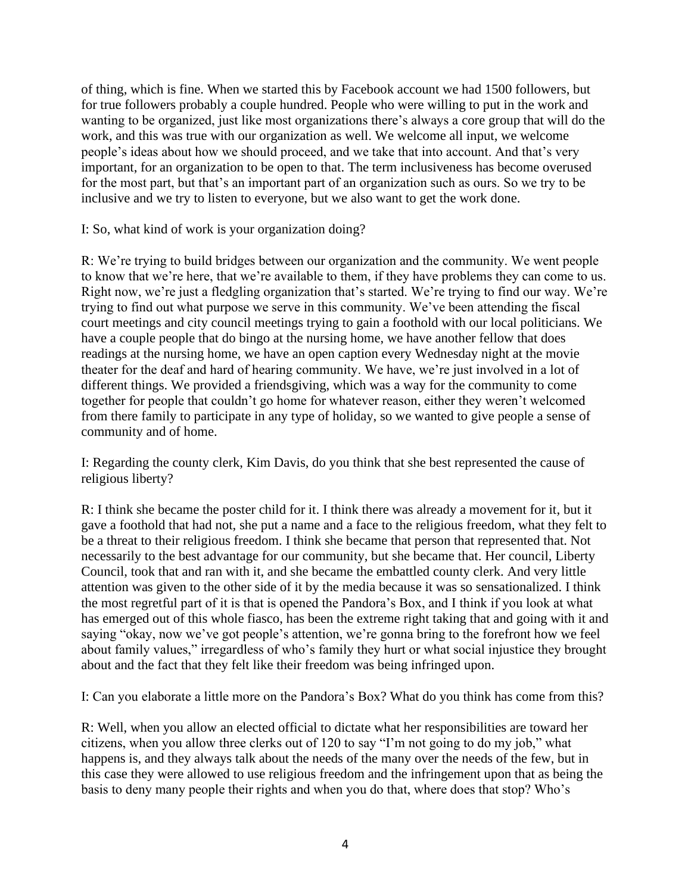of thing, which is fine. When we started this by Facebook account we had 1500 followers, but for true followers probably a couple hundred. People who were willing to put in the work and wanting to be organized, just like most organizations there's always a core group that will do the work, and this was true with our organization as well. We welcome all input, we welcome people's ideas about how we should proceed, and we take that into account. And that's very important, for an organization to be open to that. The term inclusiveness has become overused for the most part, but that's an important part of an organization such as ours. So we try to be inclusive and we try to listen to everyone, but we also want to get the work done.

I: So, what kind of work is your organization doing?

R: We're trying to build bridges between our organization and the community. We went people to know that we're here, that we're available to them, if they have problems they can come to us. Right now, we're just a fledgling organization that's started. We're trying to find our way. We're trying to find out what purpose we serve in this community. We've been attending the fiscal court meetings and city council meetings trying to gain a foothold with our local politicians. We have a couple people that do bingo at the nursing home, we have another fellow that does readings at the nursing home, we have an open caption every Wednesday night at the movie theater for the deaf and hard of hearing community. We have, we're just involved in a lot of different things. We provided a friendsgiving, which was a way for the community to come together for people that couldn't go home for whatever reason, either they weren't welcomed from there family to participate in any type of holiday, so we wanted to give people a sense of community and of home.

I: Regarding the county clerk, Kim Davis, do you think that she best represented the cause of religious liberty?

R: I think she became the poster child for it. I think there was already a movement for it, but it gave a foothold that had not, she put a name and a face to the religious freedom, what they felt to be a threat to their religious freedom. I think she became that person that represented that. Not necessarily to the best advantage for our community, but she became that. Her council, Liberty Council, took that and ran with it, and she became the embattled county clerk. And very little attention was given to the other side of it by the media because it was so sensationalized. I think the most regretful part of it is that is opened the Pandora's Box, and I think if you look at what has emerged out of this whole fiasco, has been the extreme right taking that and going with it and saying "okay, now we've got people's attention, we're gonna bring to the forefront how we feel about family values," irregardless of who's family they hurt or what social injustice they brought about and the fact that they felt like their freedom was being infringed upon.

I: Can you elaborate a little more on the Pandora's Box? What do you think has come from this?

R: Well, when you allow an elected official to dictate what her responsibilities are toward her citizens, when you allow three clerks out of 120 to say "I'm not going to do my job," what happens is, and they always talk about the needs of the many over the needs of the few, but in this case they were allowed to use religious freedom and the infringement upon that as being the basis to deny many people their rights and when you do that, where does that stop? Who's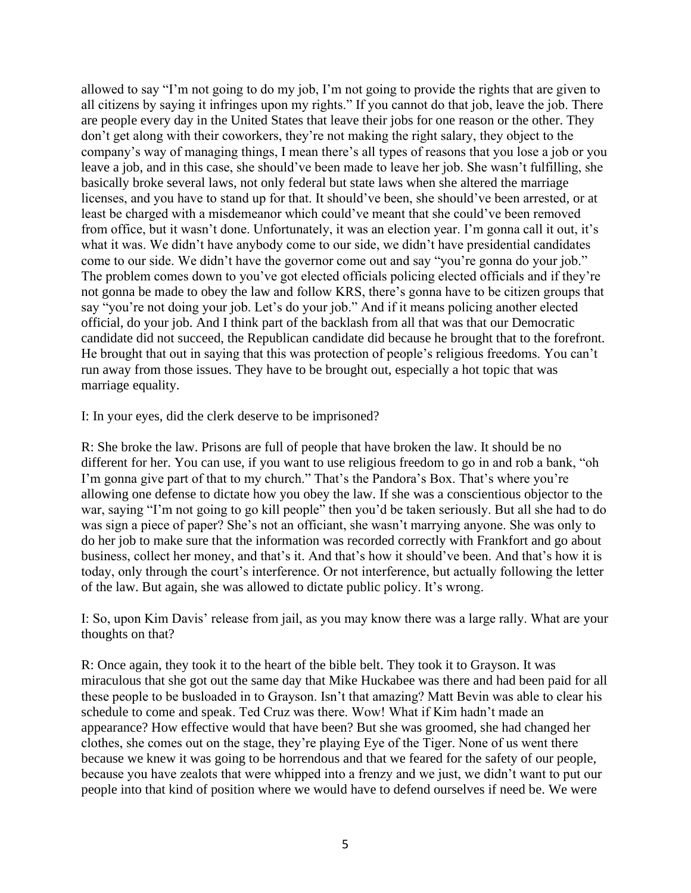allowed to say "I'm not going to do my job, I'm not going to provide the rights that are given to all citizens by saying it infringes upon my rights." If you cannot do that job, leave the job. There are people every day in the United States that leave their jobs for one reason or the other. They don't get along with their coworkers, they're not making the right salary, they object to the company's way of managing things, I mean there's all types of reasons that you lose a job or you leave a job, and in this case, she should've been made to leave her job. She wasn't fulfilling, she basically broke several laws, not only federal but state laws when she altered the marriage licenses, and you have to stand up for that. It should've been, she should've been arrested, or at least be charged with a misdemeanor which could've meant that she could've been removed from office, but it wasn't done. Unfortunately, it was an election year. I'm gonna call it out, it's what it was. We didn't have anybody come to our side, we didn't have presidential candidates come to our side. We didn't have the governor come out and say "you're gonna do your job." The problem comes down to you've got elected officials policing elected officials and if they're not gonna be made to obey the law and follow KRS, there's gonna have to be citizen groups that say "you're not doing your job. Let's do your job." And if it means policing another elected official, do your job. And I think part of the backlash from all that was that our Democratic candidate did not succeed, the Republican candidate did because he brought that to the forefront. He brought that out in saying that this was protection of people's religious freedoms. You can't run away from those issues. They have to be brought out, especially a hot topic that was marriage equality.

I: In your eyes, did the clerk deserve to be imprisoned?

R: She broke the law. Prisons are full of people that have broken the law. It should be no different for her. You can use, if you want to use religious freedom to go in and rob a bank, "oh I'm gonna give part of that to my church." That's the Pandora's Box. That's where you're allowing one defense to dictate how you obey the law. If she was a conscientious objector to the war, saying "I'm not going to go kill people" then you'd be taken seriously. But all she had to do was sign a piece of paper? She's not an officiant, she wasn't marrying anyone. She was only to do her job to make sure that the information was recorded correctly with Frankfort and go about business, collect her money, and that's it. And that's how it should've been. And that's how it is today, only through the court's interference. Or not interference, but actually following the letter of the law. But again, she was allowed to dictate public policy. It's wrong.

I: So, upon Kim Davis' release from jail, as you may know there was a large rally. What are your thoughts on that?

R: Once again, they took it to the heart of the bible belt. They took it to Grayson. It was miraculous that she got out the same day that Mike Huckabee was there and had been paid for all these people to be busloaded in to Grayson. Isn't that amazing? Matt Bevin was able to clear his schedule to come and speak. Ted Cruz was there. Wow! What if Kim hadn't made an appearance? How effective would that have been? But she was groomed, she had changed her clothes, she comes out on the stage, they're playing Eye of the Tiger. None of us went there because we knew it was going to be horrendous and that we feared for the safety of our people, because you have zealots that were whipped into a frenzy and we just, we didn't want to put our people into that kind of position where we would have to defend ourselves if need be. We were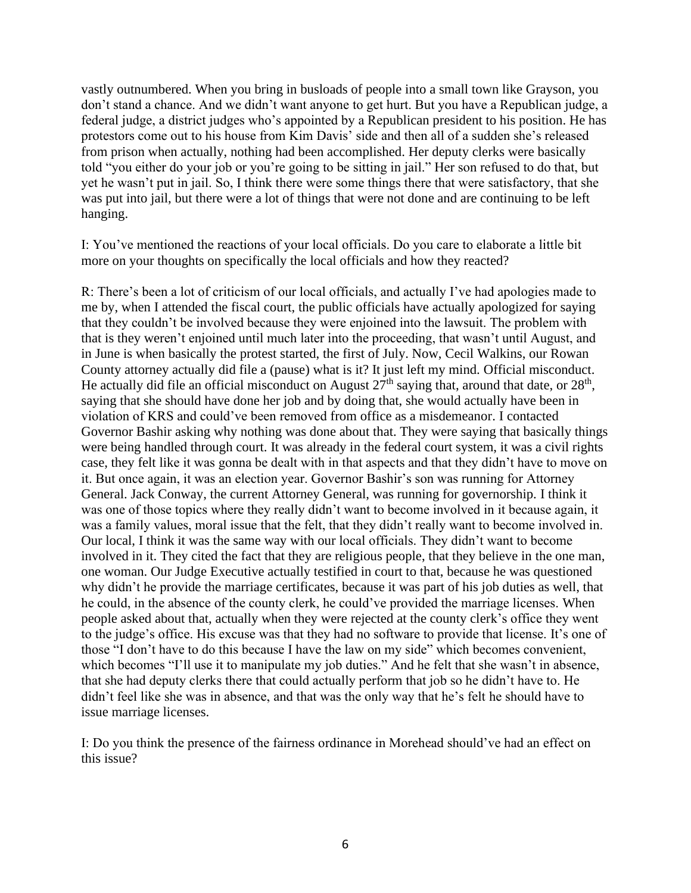vastly outnumbered. When you bring in busloads of people into a small town like Grayson, you don't stand a chance. And we didn't want anyone to get hurt. But you have a Republican judge, a federal judge, a district judges who's appointed by a Republican president to his position. He has protestors come out to his house from Kim Davis' side and then all of a sudden she's released from prison when actually, nothing had been accomplished. Her deputy clerks were basically told "you either do your job or you're going to be sitting in jail." Her son refused to do that, but yet he wasn't put in jail. So, I think there were some things there that were satisfactory, that she was put into jail, but there were a lot of things that were not done and are continuing to be left hanging.

I: You've mentioned the reactions of your local officials. Do you care to elaborate a little bit more on your thoughts on specifically the local officials and how they reacted?

R: There's been a lot of criticism of our local officials, and actually I've had apologies made to me by, when I attended the fiscal court, the public officials have actually apologized for saying that they couldn't be involved because they were enjoined into the lawsuit. The problem with that is they weren't enjoined until much later into the proceeding, that wasn't until August, and in June is when basically the protest started, the first of July. Now, Cecil Walkins, our Rowan County attorney actually did file a (pause) what is it? It just left my mind. Official misconduct. He actually did file an official misconduct on August  $27<sup>th</sup>$  saying that, around that date, or  $28<sup>th</sup>$ , saying that she should have done her job and by doing that, she would actually have been in violation of KRS and could've been removed from office as a misdemeanor. I contacted Governor Bashir asking why nothing was done about that. They were saying that basically things were being handled through court. It was already in the federal court system, it was a civil rights case, they felt like it was gonna be dealt with in that aspects and that they didn't have to move on it. But once again, it was an election year. Governor Bashir's son was running for Attorney General. Jack Conway, the current Attorney General, was running for governorship. I think it was one of those topics where they really didn't want to become involved in it because again, it was a family values, moral issue that the felt, that they didn't really want to become involved in. Our local, I think it was the same way with our local officials. They didn't want to become involved in it. They cited the fact that they are religious people, that they believe in the one man, one woman. Our Judge Executive actually testified in court to that, because he was questioned why didn't he provide the marriage certificates, because it was part of his job duties as well, that he could, in the absence of the county clerk, he could've provided the marriage licenses. When people asked about that, actually when they were rejected at the county clerk's office they went to the judge's office. His excuse was that they had no software to provide that license. It's one of those "I don't have to do this because I have the law on my side" which becomes convenient, which becomes "I'll use it to manipulate my job duties." And he felt that she wasn't in absence, that she had deputy clerks there that could actually perform that job so he didn't have to. He didn't feel like she was in absence, and that was the only way that he's felt he should have to issue marriage licenses.

I: Do you think the presence of the fairness ordinance in Morehead should've had an effect on this issue?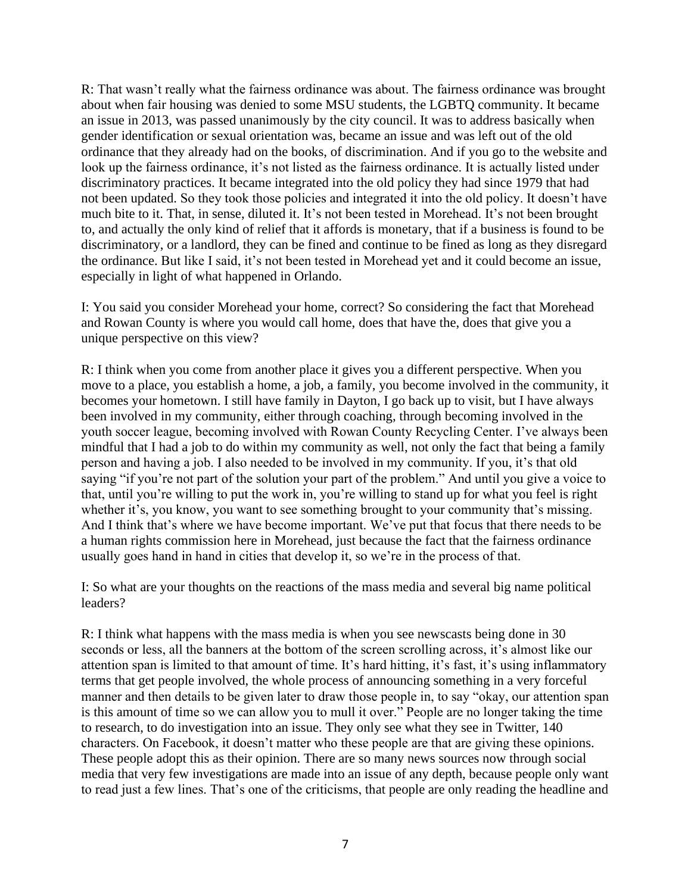R: That wasn't really what the fairness ordinance was about. The fairness ordinance was brought about when fair housing was denied to some MSU students, the LGBTQ community. It became an issue in 2013, was passed unanimously by the city council. It was to address basically when gender identification or sexual orientation was, became an issue and was left out of the old ordinance that they already had on the books, of discrimination. And if you go to the website and look up the fairness ordinance, it's not listed as the fairness ordinance. It is actually listed under discriminatory practices. It became integrated into the old policy they had since 1979 that had not been updated. So they took those policies and integrated it into the old policy. It doesn't have much bite to it. That, in sense, diluted it. It's not been tested in Morehead. It's not been brought to, and actually the only kind of relief that it affords is monetary, that if a business is found to be discriminatory, or a landlord, they can be fined and continue to be fined as long as they disregard the ordinance. But like I said, it's not been tested in Morehead yet and it could become an issue, especially in light of what happened in Orlando.

I: You said you consider Morehead your home, correct? So considering the fact that Morehead and Rowan County is where you would call home, does that have the, does that give you a unique perspective on this view?

R: I think when you come from another place it gives you a different perspective. When you move to a place, you establish a home, a job, a family, you become involved in the community, it becomes your hometown. I still have family in Dayton, I go back up to visit, but I have always been involved in my community, either through coaching, through becoming involved in the youth soccer league, becoming involved with Rowan County Recycling Center. I've always been mindful that I had a job to do within my community as well, not only the fact that being a family person and having a job. I also needed to be involved in my community. If you, it's that old saying "if you're not part of the solution your part of the problem." And until you give a voice to that, until you're willing to put the work in, you're willing to stand up for what you feel is right whether it's, you know, you want to see something brought to your community that's missing. And I think that's where we have become important. We've put that focus that there needs to be a human rights commission here in Morehead, just because the fact that the fairness ordinance usually goes hand in hand in cities that develop it, so we're in the process of that.

I: So what are your thoughts on the reactions of the mass media and several big name political leaders?

R: I think what happens with the mass media is when you see newscasts being done in 30 seconds or less, all the banners at the bottom of the screen scrolling across, it's almost like our attention span is limited to that amount of time. It's hard hitting, it's fast, it's using inflammatory terms that get people involved, the whole process of announcing something in a very forceful manner and then details to be given later to draw those people in, to say "okay, our attention span is this amount of time so we can allow you to mull it over." People are no longer taking the time to research, to do investigation into an issue. They only see what they see in Twitter, 140 characters. On Facebook, it doesn't matter who these people are that are giving these opinions. These people adopt this as their opinion. There are so many news sources now through social media that very few investigations are made into an issue of any depth, because people only want to read just a few lines. That's one of the criticisms, that people are only reading the headline and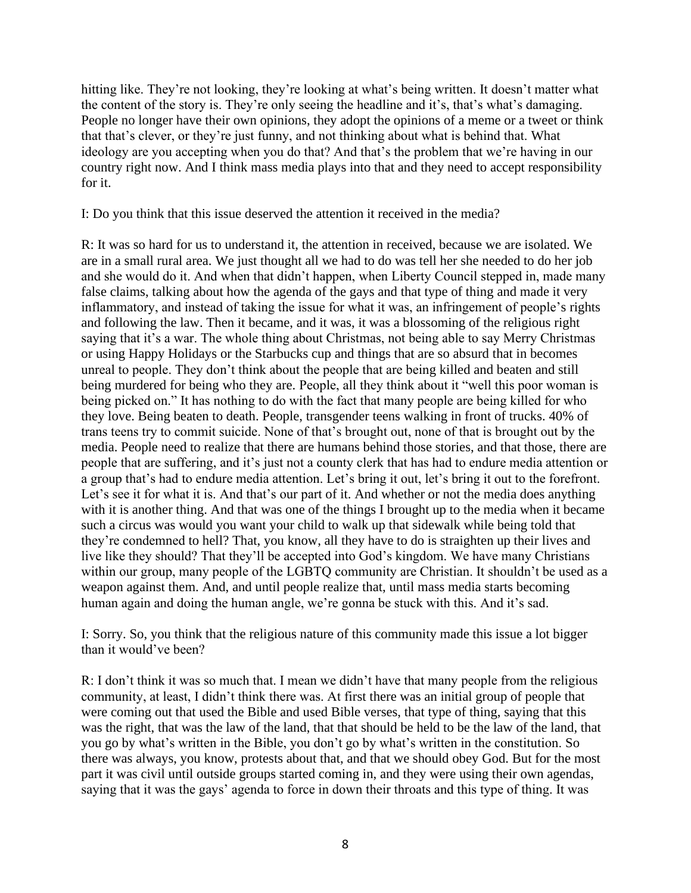hitting like. They're not looking, they're looking at what's being written. It doesn't matter what the content of the story is. They're only seeing the headline and it's, that's what's damaging. People no longer have their own opinions, they adopt the opinions of a meme or a tweet or think that that's clever, or they're just funny, and not thinking about what is behind that. What ideology are you accepting when you do that? And that's the problem that we're having in our country right now. And I think mass media plays into that and they need to accept responsibility for it.

I: Do you think that this issue deserved the attention it received in the media?

R: It was so hard for us to understand it, the attention in received, because we are isolated. We are in a small rural area. We just thought all we had to do was tell her she needed to do her job and she would do it. And when that didn't happen, when Liberty Council stepped in, made many false claims, talking about how the agenda of the gays and that type of thing and made it very inflammatory, and instead of taking the issue for what it was, an infringement of people's rights and following the law. Then it became, and it was, it was a blossoming of the religious right saying that it's a war. The whole thing about Christmas, not being able to say Merry Christmas or using Happy Holidays or the Starbucks cup and things that are so absurd that in becomes unreal to people. They don't think about the people that are being killed and beaten and still being murdered for being who they are. People, all they think about it "well this poor woman is being picked on." It has nothing to do with the fact that many people are being killed for who they love. Being beaten to death. People, transgender teens walking in front of trucks. 40% of trans teens try to commit suicide. None of that's brought out, none of that is brought out by the media. People need to realize that there are humans behind those stories, and that those, there are people that are suffering, and it's just not a county clerk that has had to endure media attention or a group that's had to endure media attention. Let's bring it out, let's bring it out to the forefront. Let's see it for what it is. And that's our part of it. And whether or not the media does anything with it is another thing. And that was one of the things I brought up to the media when it became such a circus was would you want your child to walk up that sidewalk while being told that they're condemned to hell? That, you know, all they have to do is straighten up their lives and live like they should? That they'll be accepted into God's kingdom. We have many Christians within our group, many people of the LGBTO community are Christian. It shouldn't be used as a weapon against them. And, and until people realize that, until mass media starts becoming human again and doing the human angle, we're gonna be stuck with this. And it's sad.

I: Sorry. So, you think that the religious nature of this community made this issue a lot bigger than it would've been?

R: I don't think it was so much that. I mean we didn't have that many people from the religious community, at least, I didn't think there was. At first there was an initial group of people that were coming out that used the Bible and used Bible verses, that type of thing, saying that this was the right, that was the law of the land, that that should be held to be the law of the land, that you go by what's written in the Bible, you don't go by what's written in the constitution. So there was always, you know, protests about that, and that we should obey God. But for the most part it was civil until outside groups started coming in, and they were using their own agendas, saying that it was the gays' agenda to force in down their throats and this type of thing. It was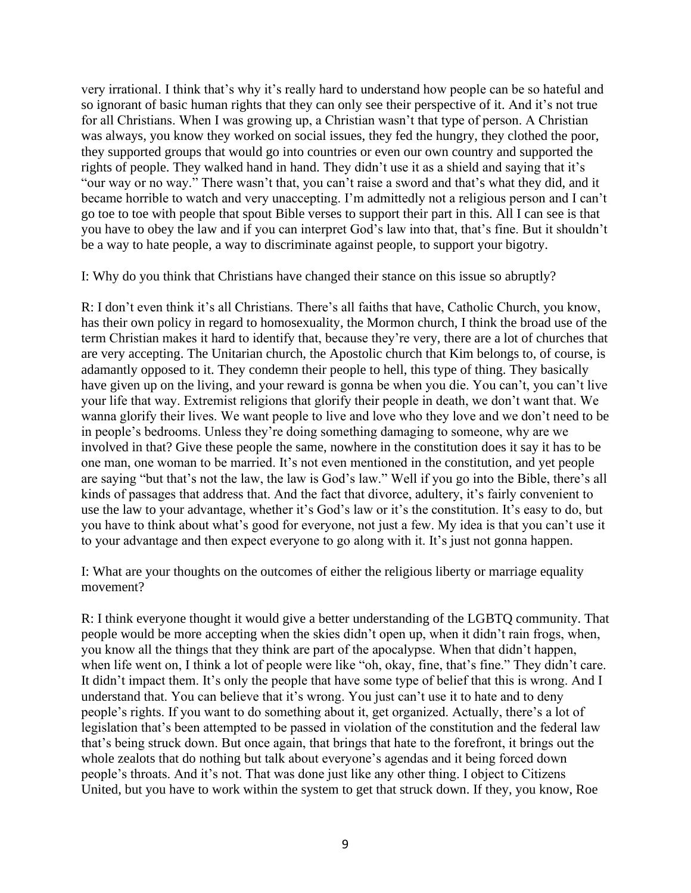very irrational. I think that's why it's really hard to understand how people can be so hateful and so ignorant of basic human rights that they can only see their perspective of it. And it's not true for all Christians. When I was growing up, a Christian wasn't that type of person. A Christian was always, you know they worked on social issues, they fed the hungry, they clothed the poor, they supported groups that would go into countries or even our own country and supported the rights of people. They walked hand in hand. They didn't use it as a shield and saying that it's "our way or no way." There wasn't that, you can't raise a sword and that's what they did, and it became horrible to watch and very unaccepting. I'm admittedly not a religious person and I can't go toe to toe with people that spout Bible verses to support their part in this. All I can see is that you have to obey the law and if you can interpret God's law into that, that's fine. But it shouldn't be a way to hate people, a way to discriminate against people, to support your bigotry.

I: Why do you think that Christians have changed their stance on this issue so abruptly?

R: I don't even think it's all Christians. There's all faiths that have, Catholic Church, you know, has their own policy in regard to homosexuality, the Mormon church, I think the broad use of the term Christian makes it hard to identify that, because they're very, there are a lot of churches that are very accepting. The Unitarian church, the Apostolic church that Kim belongs to, of course, is adamantly opposed to it. They condemn their people to hell, this type of thing. They basically have given up on the living, and your reward is gonna be when you die. You can't, you can't live your life that way. Extremist religions that glorify their people in death, we don't want that. We wanna glorify their lives. We want people to live and love who they love and we don't need to be in people's bedrooms. Unless they're doing something damaging to someone, why are we involved in that? Give these people the same, nowhere in the constitution does it say it has to be one man, one woman to be married. It's not even mentioned in the constitution, and yet people are saying "but that's not the law, the law is God's law." Well if you go into the Bible, there's all kinds of passages that address that. And the fact that divorce, adultery, it's fairly convenient to use the law to your advantage, whether it's God's law or it's the constitution. It's easy to do, but you have to think about what's good for everyone, not just a few. My idea is that you can't use it to your advantage and then expect everyone to go along with it. It's just not gonna happen.

I: What are your thoughts on the outcomes of either the religious liberty or marriage equality movement?

R: I think everyone thought it would give a better understanding of the LGBTQ community. That people would be more accepting when the skies didn't open up, when it didn't rain frogs, when, you know all the things that they think are part of the apocalypse. When that didn't happen, when life went on, I think a lot of people were like "oh, okay, fine, that's fine." They didn't care. It didn't impact them. It's only the people that have some type of belief that this is wrong. And I understand that. You can believe that it's wrong. You just can't use it to hate and to deny people's rights. If you want to do something about it, get organized. Actually, there's a lot of legislation that's been attempted to be passed in violation of the constitution and the federal law that's being struck down. But once again, that brings that hate to the forefront, it brings out the whole zealots that do nothing but talk about everyone's agendas and it being forced down people's throats. And it's not. That was done just like any other thing. I object to Citizens United, but you have to work within the system to get that struck down. If they, you know, Roe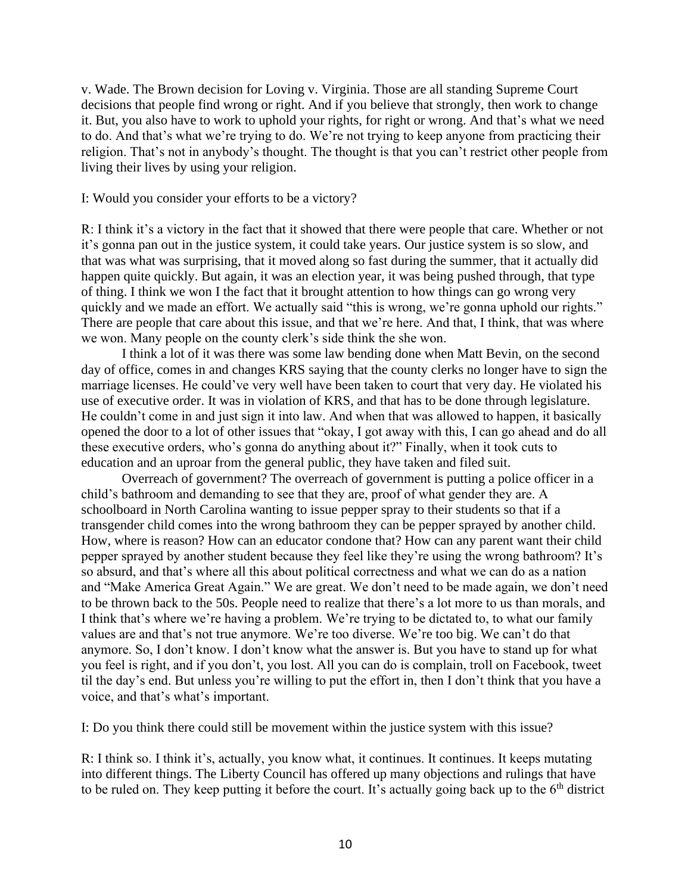v. Wade. The Brown decision for Loving v. Virginia. Those are all standing Supreme Court decisions that people find wrong or right. And if you believe that strongly, then work to change it. But, you also have to work to uphold your rights, for right or wrong. And that's what we need to do. And that's what we're trying to do. We're not trying to keep anyone from practicing their religion. That's not in anybody's thought. The thought is that you can't restrict other people from living their lives by using your religion.

#### I: Would you consider your efforts to be a victory?

R: I think it's a victory in the fact that it showed that there were people that care. Whether or not it's gonna pan out in the justice system, it could take years. Our justice system is so slow, and that was what was surprising, that it moved along so fast during the summer, that it actually did happen quite quickly. But again, it was an election year, it was being pushed through, that type of thing. I think we won I the fact that it brought attention to how things can go wrong very quickly and we made an effort. We actually said "this is wrong, we're gonna uphold our rights." There are people that care about this issue, and that we're here. And that, I think, that was where we won. Many people on the county clerk's side think the she won.

I think a lot of it was there was some law bending done when Matt Bevin, on the second day of office, comes in and changes KRS saying that the county clerks no longer have to sign the marriage licenses. He could've very well have been taken to court that very day. He violated his use of executive order. It was in violation of KRS, and that has to be done through legislature. He couldn't come in and just sign it into law. And when that was allowed to happen, it basically opened the door to a lot of other issues that "okay, I got away with this, I can go ahead and do all these executive orders, who's gonna do anything about it?" Finally, when it took cuts to education and an uproar from the general public, they have taken and filed suit.

Overreach of government? The overreach of government is putting a police officer in a child's bathroom and demanding to see that they are, proof of what gender they are. A schoolboard in North Carolina wanting to issue pepper spray to their students so that if a transgender child comes into the wrong bathroom they can be pepper sprayed by another child. How, where is reason? How can an educator condone that? How can any parent want their child pepper sprayed by another student because they feel like they're using the wrong bathroom? It's so absurd, and that's where all this about political correctness and what we can do as a nation and "Make America Great Again." We are great. We don't need to be made again, we don't need to be thrown back to the 50s. People need to realize that there's a lot more to us than morals, and I think that's where we're having a problem. We're trying to be dictated to, to what our family values are and that's not true anymore. We're too diverse. We're too big. We can't do that anymore. So, I don't know. I don't know what the answer is. But you have to stand up for what you feel is right, and if you don't, you lost. All you can do is complain, troll on Facebook, tweet til the day's end. But unless you're willing to put the effort in, then I don't think that you have a voice, and that's what's important.

I: Do you think there could still be movement within the justice system with this issue?

R: I think so. I think it's, actually, you know what, it continues. It continues. It keeps mutating into different things. The Liberty Council has offered up many objections and rulings that have to be ruled on. They keep putting it before the court. It's actually going back up to the  $6<sup>th</sup>$  district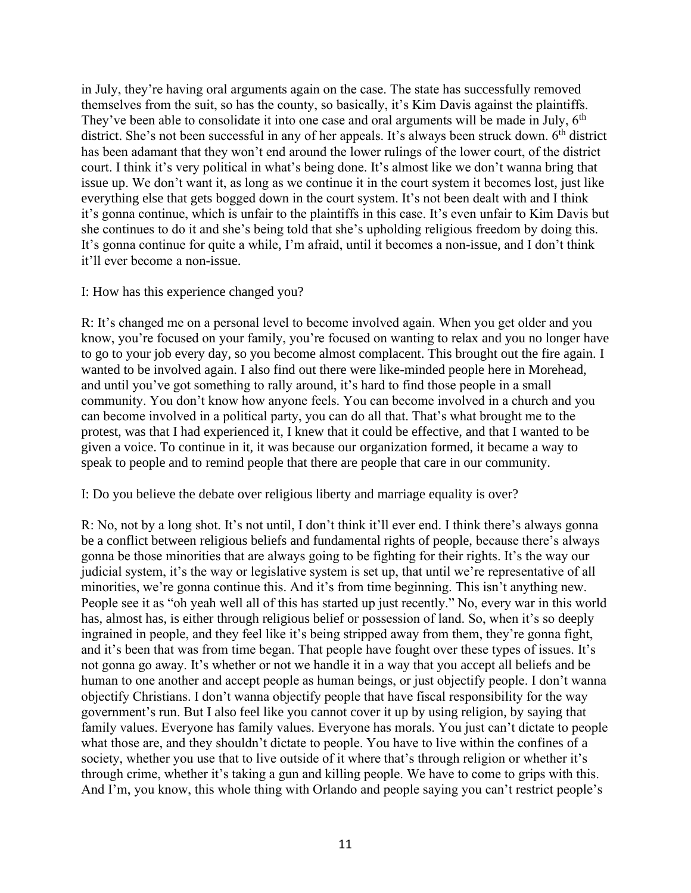in July, they're having oral arguments again on the case. The state has successfully removed themselves from the suit, so has the county, so basically, it's Kim Davis against the plaintiffs. They've been able to consolidate it into one case and oral arguments will be made in July,  $6<sup>th</sup>$ district. She's not been successful in any of her appeals. It's always been struck down. 6<sup>th</sup> district has been adamant that they won't end around the lower rulings of the lower court, of the district court. I think it's very political in what's being done. It's almost like we don't wanna bring that issue up. We don't want it, as long as we continue it in the court system it becomes lost, just like everything else that gets bogged down in the court system. It's not been dealt with and I think it's gonna continue, which is unfair to the plaintiffs in this case. It's even unfair to Kim Davis but she continues to do it and she's being told that she's upholding religious freedom by doing this. It's gonna continue for quite a while, I'm afraid, until it becomes a non-issue, and I don't think it'll ever become a non-issue.

## I: How has this experience changed you?

R: It's changed me on a personal level to become involved again. When you get older and you know, you're focused on your family, you're focused on wanting to relax and you no longer have to go to your job every day, so you become almost complacent. This brought out the fire again. I wanted to be involved again. I also find out there were like-minded people here in Morehead, and until you've got something to rally around, it's hard to find those people in a small community. You don't know how anyone feels. You can become involved in a church and you can become involved in a political party, you can do all that. That's what brought me to the protest, was that I had experienced it, I knew that it could be effective, and that I wanted to be given a voice. To continue in it, it was because our organization formed, it became a way to speak to people and to remind people that there are people that care in our community.

## I: Do you believe the debate over religious liberty and marriage equality is over?

R: No, not by a long shot. It's not until, I don't think it'll ever end. I think there's always gonna be a conflict between religious beliefs and fundamental rights of people, because there's always gonna be those minorities that are always going to be fighting for their rights. It's the way our judicial system, it's the way or legislative system is set up, that until we're representative of all minorities, we're gonna continue this. And it's from time beginning. This isn't anything new. People see it as "oh yeah well all of this has started up just recently." No, every war in this world has, almost has, is either through religious belief or possession of land. So, when it's so deeply ingrained in people, and they feel like it's being stripped away from them, they're gonna fight, and it's been that was from time began. That people have fought over these types of issues. It's not gonna go away. It's whether or not we handle it in a way that you accept all beliefs and be human to one another and accept people as human beings, or just objectify people. I don't wanna objectify Christians. I don't wanna objectify people that have fiscal responsibility for the way government's run. But I also feel like you cannot cover it up by using religion, by saying that family values. Everyone has family values. Everyone has morals. You just can't dictate to people what those are, and they shouldn't dictate to people. You have to live within the confines of a society, whether you use that to live outside of it where that's through religion or whether it's through crime, whether it's taking a gun and killing people. We have to come to grips with this. And I'm, you know, this whole thing with Orlando and people saying you can't restrict people's